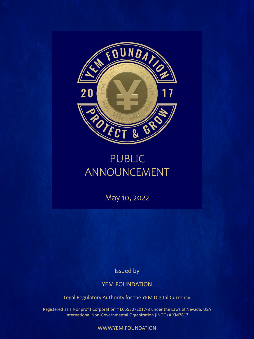

## PUBLIC ANNOUNCEMENT

May 10, 2022

Issued by

YEM FOUNDATION

Legal Regulatory Authority for the YEM Digital Currency

Registered as a Nonprofit Corporation # E0553072017-8 under the Laws of Nevada, USA International Non-Governmental Organization (INGO) # XM7617

WWW.YEM.FOUNDATION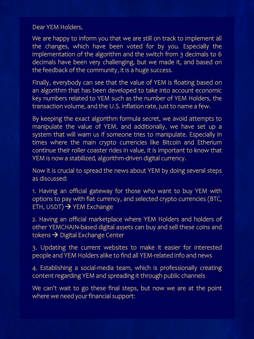## Dear YEM Holders,

We are happy to inform you that we are still on track to implement all the changes, which have been voted for by you. Especially the implementation of the algorithm and the switch from 3 decimals to 6 decimals have been very challenging, but we made it, and based on the feedback of the community, it is a huge success.

Finally, everybody can see that the value of YEM is floating based on an algorithm that has been developed to take into account economic key numbers related to YEM such as the number of YEM Holders, the transaction volume, and the U.S. inflation rate, just to name a few.

By keeping the exact algorithm formula secret, we avoid attempts to manipulate the value of YEM, and additionally, we have set up a system that will warn us if someone tries to manipulate. Especially in times where the main crypto currencies like Bitcoin and Etherium continue their roller coaster rides in value, it is important to know that YEM is now a stabilized, algorithm-driven digital currency.

Now it is crucial to spread the news about YEM by doing several steps as discussed:

1. Having an official gateway for those who want to buy YEM with options to pay with fiat currency, and selected crypto currencies (BTC, ETH, USDT)  $\rightarrow$  YEM Exchange

2. Having an official marketplace where YEM Holders and holders of other YEMCHAIN-based digital assets can buy and sell these coins and tokens  $\rightarrow$  Digital Exchange Center

3. Updating the current websites to make it easier for interested people and YEM Holders alike to find all YEM-related info and news

4. Establishing a social-media team, which is professionally creating content regarding YEM and spreading it through public channels

We can't wait to go these final steps, but now we are at the point where we need your financial support: